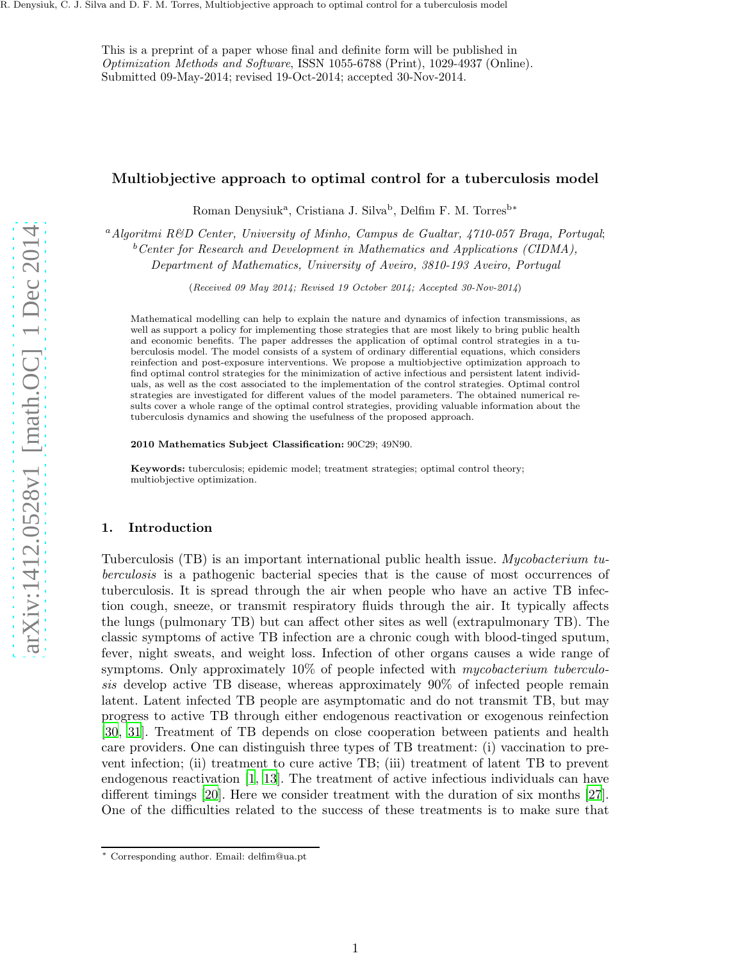This is a preprint of a paper whose final and definite form will be published in Optimization Methods and Software, ISSN 1055-6788 (Print), 1029-4937 (Online). Submitted 09-May-2014; revised 19-Oct-2014; accepted 30-Nov-2014.

# Multiobjective approach to optimal control for a tuberculosis model

Roman Denysiuk<sup>a</sup>, Cristiana J. Silva<sup>b</sup>, Delfim F. M. Torres<sup>b\*</sup>

<sup>a</sup> Algoritmi R&D Center, University of Minho, Campus de Gualtar, 4710-057 Braga, Portugal;

 $b$ <sup>b</sup>Center for Research and Development in Mathematics and Applications (CIDMA),

Department of Mathematics, University of Aveiro, 3810-193 Aveiro, Portugal

(Received 09 May 2014; Revised 19 October 2014; Accepted 30-Nov-2014)

Mathematical modelling can help to explain the nature and dynamics of infection transmissions, as well as support a policy for implementing those strategies that are most likely to bring public health and economic benefits. The paper addresses the application of optimal control strategies in a tuberculosis model. The model consists of a system of ordinary differential equations, which considers reinfection and post-exposure interventions. We propose a multiobjective optimization approach to find optimal control strategies for the minimization of active infectious and persistent latent individuals, as well as the cost associated to the implementation of the control strategies. Optimal control strategies are investigated for different values of the model parameters. The obtained numerical results cover a whole range of the optimal control strategies, providing valuable information about the tuberculosis dynamics and showing the usefulness of the proposed approach.

2010 Mathematics Subject Classification: 90C29; 49N90.

Keywords: tuberculosis; epidemic model; treatment strategies; optimal control theory; multiobjective optimization.

#### 1. Introduction

Tuberculosis (TB) is an important international public health issue. Mycobacterium tuberculosis is a pathogenic bacterial species that is the cause of most occurrences of tuberculosis. It is spread through the air when people who have an active TB infection cough, sneeze, or transmit respiratory fluids through the air. It typically affects the lungs (pulmonary TB) but can affect other sites as well (extrapulmonary TB). The classic symptoms of active TB infection are a chronic cough with blood-tinged sputum, fever, night sweats, and weight loss. Infection of other organs causes a wide range of symptoms. Only approximately 10% of people infected with *mycobacterium tuberculo*sis develop active TB disease, whereas approximately 90% of infected people remain latent. Latent infected TB people are asymptomatic and do not transmit TB, but may progress to active TB through either endogenous reactivation or exogenous reinfection [\[30](#page-16-0), [31](#page-16-1)]. Treatment of TB depends on close cooperation between patients and health care providers. One can distinguish three types of TB treatment: (i) vaccination to prevent infection; (ii) treatment to cure active TB; (iii) treatment of latent TB to prevent endogenous reactivation [\[1](#page-15-0), [13](#page-16-2)]. The treatment of active infectious individuals can have different timings [\[20\]](#page-16-3). Here we consider treatment with the duration of six months [\[27](#page-16-4)]. One of the difficulties related to the success of these treatments is to make sure that

<sup>∗</sup> Corresponding author. Email: delfim@ua.pt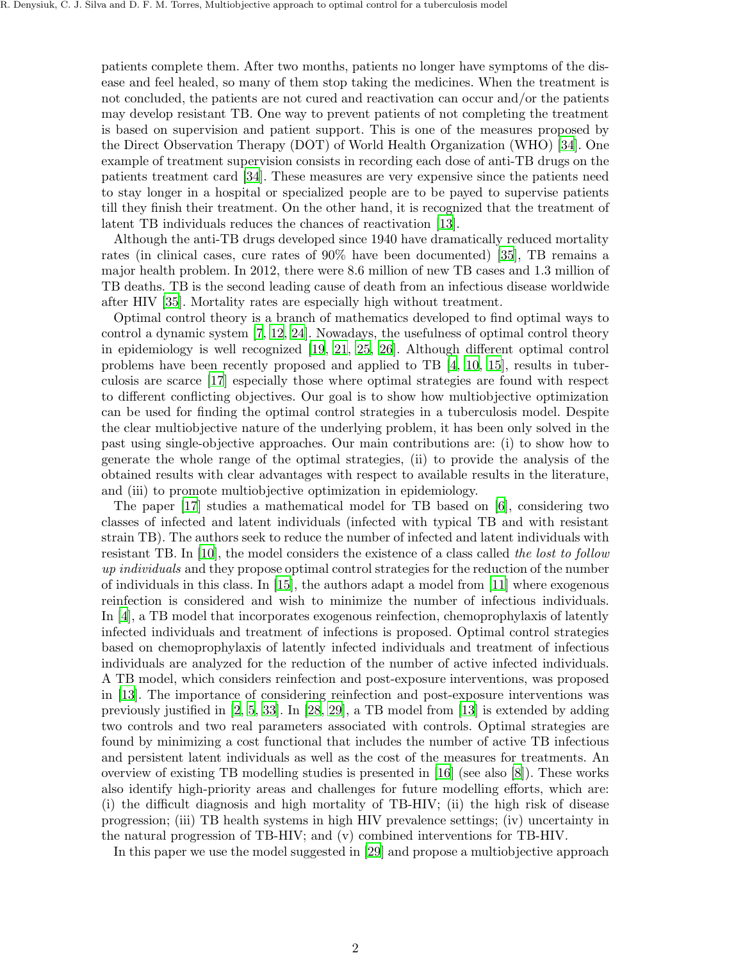patients complete them. After two months, patients no longer have symptoms of the disease and feel healed, so many of them stop taking the medicines. When the treatment is not concluded, the patients are not cured and reactivation can occur and/or the patients may develop resistant TB. One way to prevent patients of not completing the treatment is based on supervision and patient support. This is one of the measures proposed by the Direct Observation Therapy (DOT) of World Health Organization (WHO) [\[34](#page-17-0)]. One example of treatment supervision consists in recording each dose of anti-TB drugs on the patients treatment card [\[34](#page-17-0)]. These measures are very expensive since the patients need to stay longer in a hospital or specialized people are to be payed to supervise patients till they finish their treatment. On the other hand, it is recognized that the treatment of latent TB individuals reduces the chances of reactivation [\[13](#page-16-2)].

Although the anti-TB drugs developed since 1940 have dramatically reduced mortality rates (in clinical cases, cure rates of 90% have been documented) [\[35\]](#page-17-1), TB remains a major health problem. In 2012, there were 8.6 million of new TB cases and 1.3 million of TB deaths. TB is the second leading cause of death from an infectious disease worldwide after HIV [\[35](#page-17-1)]. Mortality rates are especially high without treatment.

Optimal control theory is a branch of mathematics developed to find optimal ways to control a dynamic system [\[7,](#page-16-5) [12](#page-16-6), [24](#page-16-7)]. Nowadays, the usefulness of optimal control theory in epidemiology is well recognized [\[19,](#page-16-8) [21](#page-16-9), [25](#page-16-10), [26\]](#page-16-11). Although different optimal control problems have been recently proposed and applied to TB [\[4](#page-15-1), [10,](#page-16-12) [15](#page-16-13)], results in tuberculosis are scarce [\[17](#page-16-14)] especially those where optimal strategies are found with respect to different conflicting objectives. Our goal is to show how multiobjective optimization can be used for finding the optimal control strategies in a tuberculosis model. Despite the clear multiobjective nature of the underlying problem, it has been only solved in the past using single-objective approaches. Our main contributions are: (i) to show how to generate the whole range of the optimal strategies, (ii) to provide the analysis of the obtained results with clear advantages with respect to available results in the literature, and (iii) to promote multiobjective optimization in epidemiology.

The paper [\[17\]](#page-16-14) studies a mathematical model for TB based on [\[6](#page-16-15)], considering two classes of infected and latent individuals (infected with typical TB and with resistant strain TB). The authors seek to reduce the number of infected and latent individuals with resistant TB. In [\[10](#page-16-12)], the model considers the existence of a class called the lost to follow up individuals and they propose optimal control strategies for the reduction of the number of individuals in this class. In  $[15]$ , the authors adapt a model from  $[11]$  where exogenous reinfection is considered and wish to minimize the number of infectious individuals. In [\[4](#page-15-1)], a TB model that incorporates exogenous reinfection, chemoprophylaxis of latently infected individuals and treatment of infections is proposed. Optimal control strategies based on chemoprophylaxis of latently infected individuals and treatment of infectious individuals are analyzed for the reduction of the number of active infected individuals. A TB model, which considers reinfection and post-exposure interventions, was proposed in [\[13\]](#page-16-2). The importance of considering reinfection and post-exposure interventions was previously justified in [\[2](#page-15-2), [5](#page-16-17), [33\]](#page-17-2). In [\[28](#page-16-18), [29](#page-16-19)], a TB model from [\[13](#page-16-2)] is extended by adding two controls and two real parameters associated with controls. Optimal strategies are found by minimizing a cost functional that includes the number of active TB infectious and persistent latent individuals as well as the cost of the measures for treatments. An overview of existing TB modelling studies is presented in [\[16](#page-16-20)] (see also [\[8\]](#page-16-21)). These works also identify high-priority areas and challenges for future modelling efforts, which are: (i) the difficult diagnosis and high mortality of TB-HIV; (ii) the high risk of disease progression; (iii) TB health systems in high HIV prevalence settings; (iv) uncertainty in the natural progression of TB-HIV; and (v) combined interventions for TB-HIV.

In this paper we use the model suggested in [\[29\]](#page-16-19) and propose a multiobjective approach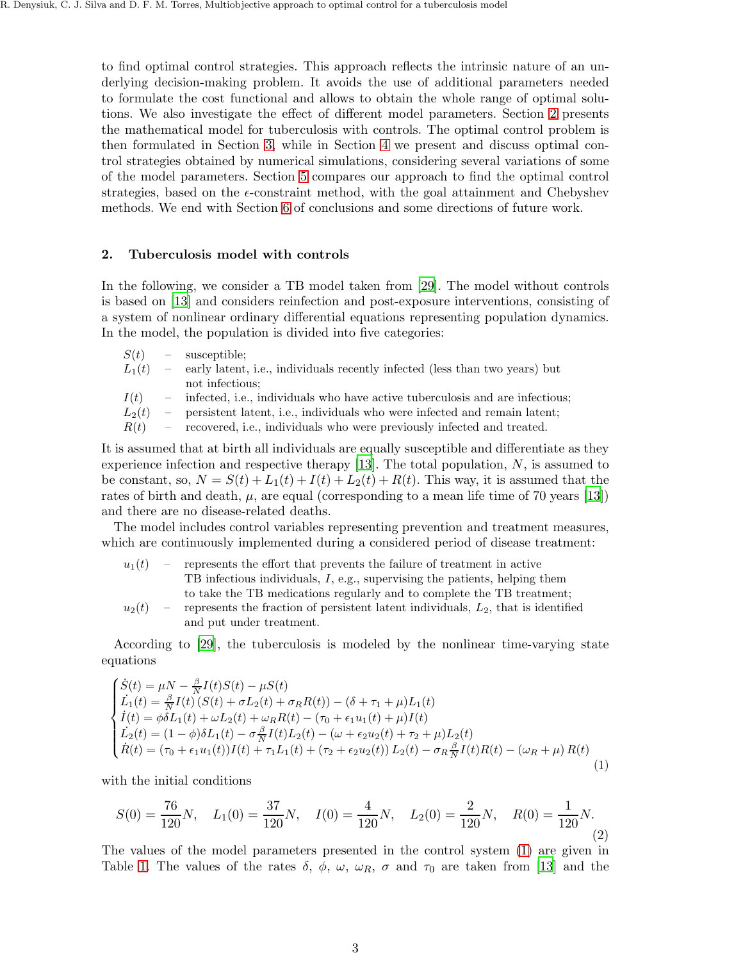to find optimal control strategies. This approach reflects the intrinsic nature of an underlying decision-making problem. It avoids the use of additional parameters needed to formulate the cost functional and allows to obtain the whole range of optimal solutions. We also investigate the effect of different model parameters. Section [2](#page-2-0) presents the mathematical model for tuberculosis with controls. The optimal control problem is then formulated in Section [3,](#page-3-0) while in Section [4](#page-5-0) we present and discuss optimal control strategies obtained by numerical simulations, considering several variations of some of the model parameters. Section [5](#page-10-0) compares our approach to find the optimal control strategies, based on the  $\epsilon$ -constraint method, with the goal attainment and Chebyshev methods. We end with Section [6](#page-14-0) of conclusions and some directions of future work.

## <span id="page-2-0"></span>2. Tuberculosis model with controls

In the following, we consider a TB model taken from [\[29\]](#page-16-19). The model without controls is based on [\[13](#page-16-2)] and considers reinfection and post-exposure interventions, consisting of a system of nonlinear ordinary differential equations representing population dynamics. In the model, the population is divided into five categories:

 $S(t)$  – susceptible;

| $L_1(t)$ | - early latent, i.e., individuals recently infected (less than two years) but |
|----------|-------------------------------------------------------------------------------|
|          | not infectious:                                                               |

 $I(t)$  – infected, i.e., individuals who have active tuberculosis and are infectious;

 $L_2(t)$  – persistent latent, i.e., individuals who were infected and remain latent;

 $R(t)$  – recovered, i.e., individuals who were previously infected and treated.

It is assumed that at birth all individuals are equally susceptible and differentiate as they experience infection and respective therapy  $[13]$ . The total population, N, is assumed to be constant, so,  $N = S(t) + L_1(t) + I(t) + L_2(t) + R(t)$ . This way, it is assumed that the rates of birth and death,  $\mu$ , are equal (corresponding to a mean life time of 70 years [\[13\]](#page-16-2)) and there are no disease-related deaths.

The model includes control variables representing prevention and treatment measures, which are continuously implemented during a considered period of disease treatment:

| $u_1(t)$ | $\overline{\phantom{a}}$ | represents the effort that prevents the failure of treatment in active                 |
|----------|--------------------------|----------------------------------------------------------------------------------------|
|          |                          | TB infectious individuals, $I$ , e.g., supervising the patients, helping them          |
|          |                          | to take the TB medications regularly and to complete the TB treatment;                 |
| $u_2(t)$ |                          | - represents the fraction of persistent latent individuals, $L_2$ , that is identified |
|          |                          | and put under treatment.                                                               |

According to [\[29\]](#page-16-19), the tuberculosis is modeled by the nonlinear time-varying state equations

<span id="page-2-1"></span>
$$
\begin{cases}\n\dot{S}(t) = \mu N - \frac{\beta}{N} I(t)S(t) - \mu S(t) \\
\dot{L}_1(t) = \frac{\beta}{N} I(t) (S(t) + \sigma L_2(t) + \sigma_R R(t)) - (\delta + \tau_1 + \mu) L_1(t) \\
\dot{I}(t) = \phi \delta L_1(t) + \omega L_2(t) + \omega_R R(t) - (\tau_0 + \epsilon_1 u_1(t) + \mu) I(t) \\
\dot{L}_2(t) = (1 - \phi) \delta L_1(t) - \sigma \frac{\beta}{N} I(t) L_2(t) - (\omega + \epsilon_2 u_2(t) + \tau_2 + \mu) L_2(t) \\
\dot{R}(t) = (\tau_0 + \epsilon_1 u_1(t)) I(t) + \tau_1 L_1(t) + (\tau_2 + \epsilon_2 u_2(t)) L_2(t) - \sigma_R \frac{\beta}{N} I(t) R(t) - (\omega_R + \mu) R(t)\n\end{cases}
$$
\n(1)

with the initial conditions

<span id="page-2-2"></span>
$$
S(0) = \frac{76}{120}N, \quad L_1(0) = \frac{37}{120}N, \quad I(0) = \frac{4}{120}N, \quad L_2(0) = \frac{2}{120}N, \quad R(0) = \frac{1}{120}N. \tag{2}
$$

The values of the model parameters presented in the control system [\(1\)](#page-2-1) are given in Table [1.](#page-3-1) The values of the rates  $\delta$ ,  $\phi$ ,  $\omega$ ,  $\omega_R$ ,  $\sigma$  and  $\tau_0$  are taken from [\[13\]](#page-16-2) and the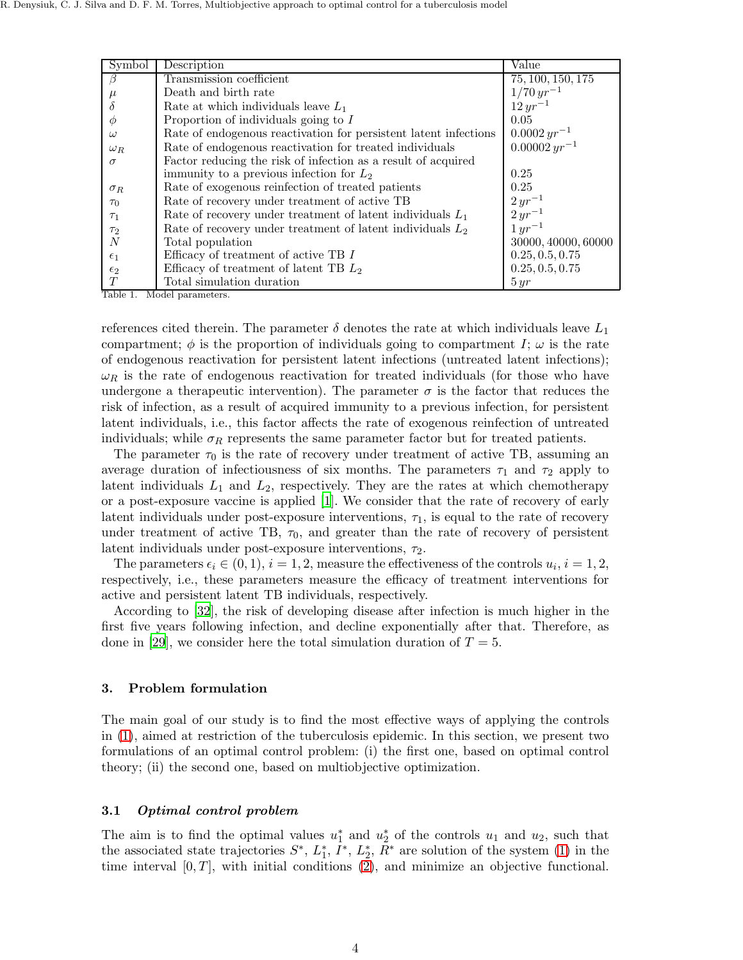| Symbol       | Description                                                      | Value               |
|--------------|------------------------------------------------------------------|---------------------|
| B            | Transmission coefficient                                         | 75, 100, 150, 175   |
| $\mu$        | Death and birth rate                                             | $1/70 \, yr^{-1}$   |
| δ            | Rate at which individuals leave $L_1$                            | $12 \, yr^{-1}$     |
| Ø            | Proportion of individuals going to $I$                           | 0.05                |
| $\omega$     | Rate of endogenous reactivation for persistent latent infections | $0.0002 \, yr^{-1}$ |
| $\omega_R$   | Rate of endogenous reactivation for treated individuals          | $0.00002 yr^{-1}$   |
| $\sigma$     | Factor reducing the risk of infection as a result of acquired    |                     |
|              | immunity to a previous infection for $L_2$                       | 0.25                |
| $\sigma_R$   | Rate of exogenous reinfection of treated patients                | 0.25                |
| $\tau_0$     | Rate of recovery under treatment of active TB                    | $2 yr^{-1}$         |
| $\tau_1$     | Rate of recovery under treatment of latent individuals $L_1$     | $2 yr^{-1}$         |
| $\tau_2$     | Rate of recovery under treatment of latent individuals $L_2$     | $1 yr^{-1}$         |
| N            | Total population                                                 | 30000, 40000, 60000 |
| $\epsilon_1$ | Efficacy of treatment of active TB $I$                           | 0.25, 0.5, 0.75     |
| $\epsilon_2$ | Efficacy of treatment of latent TB $L_2$                         | 0.25, 0.5, 0.75     |
|              | Total simulation duration                                        | 5 yr                |

<span id="page-3-1"></span>Table 1. Model parameters.

references cited therein. The parameter  $\delta$  denotes the rate at which individuals leave  $L_1$ compartment;  $\phi$  is the proportion of individuals going to compartment I;  $\omega$  is the rate of endogenous reactivation for persistent latent infections (untreated latent infections);  $\omega_R$  is the rate of endogenous reactivation for treated individuals (for those who have undergone a therapeutic intervention). The parameter  $\sigma$  is the factor that reduces the risk of infection, as a result of acquired immunity to a previous infection, for persistent latent individuals, i.e., this factor affects the rate of exogenous reinfection of untreated individuals; while  $\sigma_R$  represents the same parameter factor but for treated patients.

The parameter  $\tau_0$  is the rate of recovery under treatment of active TB, assuming an average duration of infectiousness of six months. The parameters  $\tau_1$  and  $\tau_2$  apply to latent individuals  $L_1$  and  $L_2$ , respectively. They are the rates at which chemotherapy or a post-exposure vaccine is applied [\[1\]](#page-15-0). We consider that the rate of recovery of early latent individuals under post-exposure interventions,  $\tau_1$ , is equal to the rate of recovery under treatment of active TB,  $\tau_0$ , and greater than the rate of recovery of persistent latent individuals under post-exposure interventions,  $\tau_2$ .

The parameters  $\epsilon_i \in (0,1)$ ,  $i = 1,2$ , measure the effectiveness of the controls  $u_i$ ,  $i = 1,2$ , respectively, i.e., these parameters measure the efficacy of treatment interventions for active and persistent latent TB individuals, respectively.

According to [\[32](#page-16-22)], the risk of developing disease after infection is much higher in the first five years following infection, and decline exponentially after that. Therefore, as done in [\[29](#page-16-19)], we consider here the total simulation duration of  $T = 5$ .

## <span id="page-3-0"></span>3. Problem formulation

The main goal of our study is to find the most effective ways of applying the controls in [\(1\)](#page-2-1), aimed at restriction of the tuberculosis epidemic. In this section, we present two formulations of an optimal control problem: (i) the first one, based on optimal control theory; (ii) the second one, based on multiobjective optimization.

## 3.1 Optimal control problem

The aim is to find the optimal values  $u_1^*$  and  $u_2^*$  of the controls  $u_1$  and  $u_2$ , such that the associated state trajectories  $S^*$ ,  $L_1^*, \overline{I}^*, L_2^*, \overline{R}^*$  are solution of the system [\(1\)](#page-2-1) in the time interval  $[0, T]$ , with initial conditions [\(2\)](#page-2-2), and minimize an objective functional.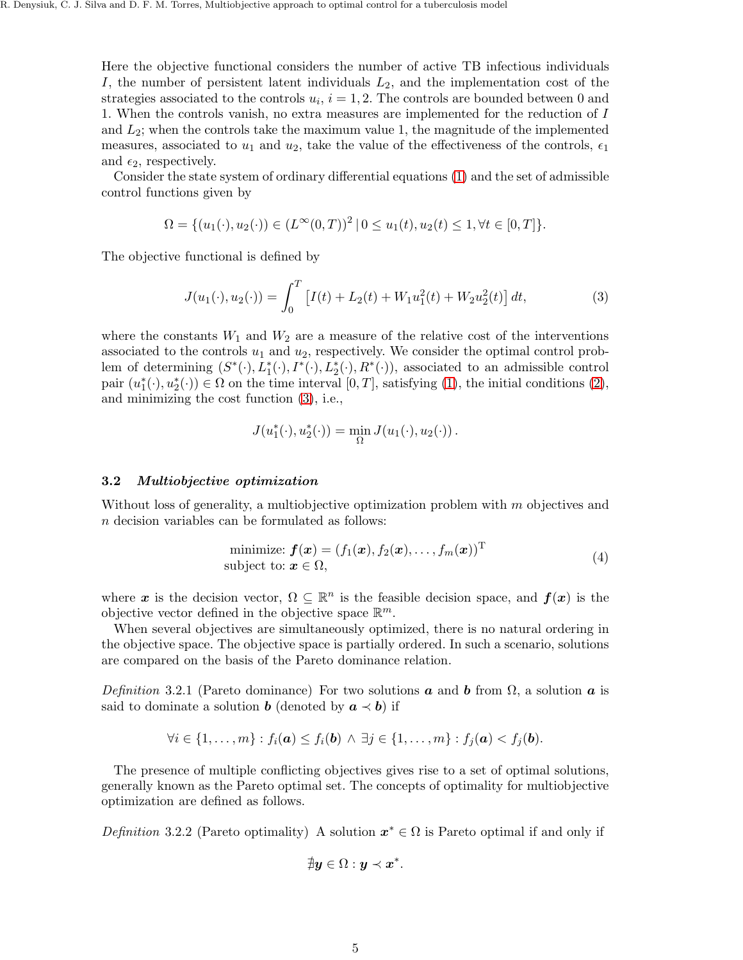Here the objective functional considers the number of active TB infectious individuals I, the number of persistent latent individuals  $L_2$ , and the implementation cost of the strategies associated to the controls  $u_i$ ,  $i = 1, 2$ . The controls are bounded between 0 and 1. When the controls vanish, no extra measures are implemented for the reduction of I and  $L_2$ ; when the controls take the maximum value 1, the magnitude of the implemented measures, associated to  $u_1$  and  $u_2$ , take the value of the effectiveness of the controls,  $\epsilon_1$ and  $\epsilon_2$ , respectively.

Consider the state system of ordinary differential equations [\(1\)](#page-2-1) and the set of admissible control functions given by

$$
\Omega = \{ (u_1(\cdot), u_2(\cdot)) \in (L^{\infty}(0,T))^2 \mid 0 \le u_1(t), u_2(t) \le 1, \forall t \in [0,T] \}.
$$

The objective functional is defined by

<span id="page-4-0"></span>
$$
J(u_1(\cdot), u_2(\cdot)) = \int_0^T \left[ I(t) + L_2(t) + W_1 u_1^2(t) + W_2 u_2^2(t) \right] dt,
$$
\n(3)

where the constants  $W_1$  and  $W_2$  are a measure of the relative cost of the interventions associated to the controls  $u_1$  and  $u_2$ , respectively. We consider the optimal control problem of determining  $(S^*(\cdot), L_1^*(\cdot), L_2^*(\cdot), L_2^*(\cdot), R^*(\cdot))$ , associated to an admissible control pair  $(u_1^*(\cdot), u_2^*(\cdot)) \in \Omega$  on the time interval  $[0, T]$ , satisfying  $(1)$ , the initial conditions  $(2)$ , and minimizing the cost function [\(3\)](#page-4-0), i.e.,

$$
J(u_1^*(\cdot), u_2^*(\cdot)) = \min_{\Omega} J(u_1(\cdot), u_2(\cdot)).
$$

#### 3.2 Multiobjective optimization

Without loss of generality, a multiobjective optimization problem with m objectives and n decision variables can be formulated as follows:

<span id="page-4-1"></span>minimize: 
$$
f(\mathbf{x}) = (f_1(\mathbf{x}), f_2(\mathbf{x}), \dots, f_m(\mathbf{x}))^T
$$
  
subject to:  $\mathbf{x} \in \Omega$ , (4)

where x is the decision vector,  $\Omega \subseteq \mathbb{R}^n$  is the feasible decision space, and  $f(x)$  is the objective vector defined in the objective space  $\mathbb{R}^m$ .

When several objectives are simultaneously optimized, there is no natural ordering in the objective space. The objective space is partially ordered. In such a scenario, solutions are compared on the basis of the Pareto dominance relation.

Definition 3.2.1 (Pareto dominance) For two solutions **a** and **b** from  $\Omega$ , a solution **a** is said to dominate a solution **b** (denoted by  $a \prec b$ ) if

$$
\forall i \in \{1,\ldots,m\} : f_i(\mathbf{a}) \leq f_i(\mathbf{b}) \land \exists j \in \{1,\ldots,m\} : f_j(\mathbf{a}) < f_j(\mathbf{b}).
$$

The presence of multiple conflicting objectives gives rise to a set of optimal solutions, generally known as the Pareto optimal set. The concepts of optimality for multiobjective optimization are defined as follows.

Definition 3.2.2 (Pareto optimality) A solution  $x^* \in \Omega$  is Pareto optimal if and only if

$$
\nexists y\in\Omega:y\prec x^*.
$$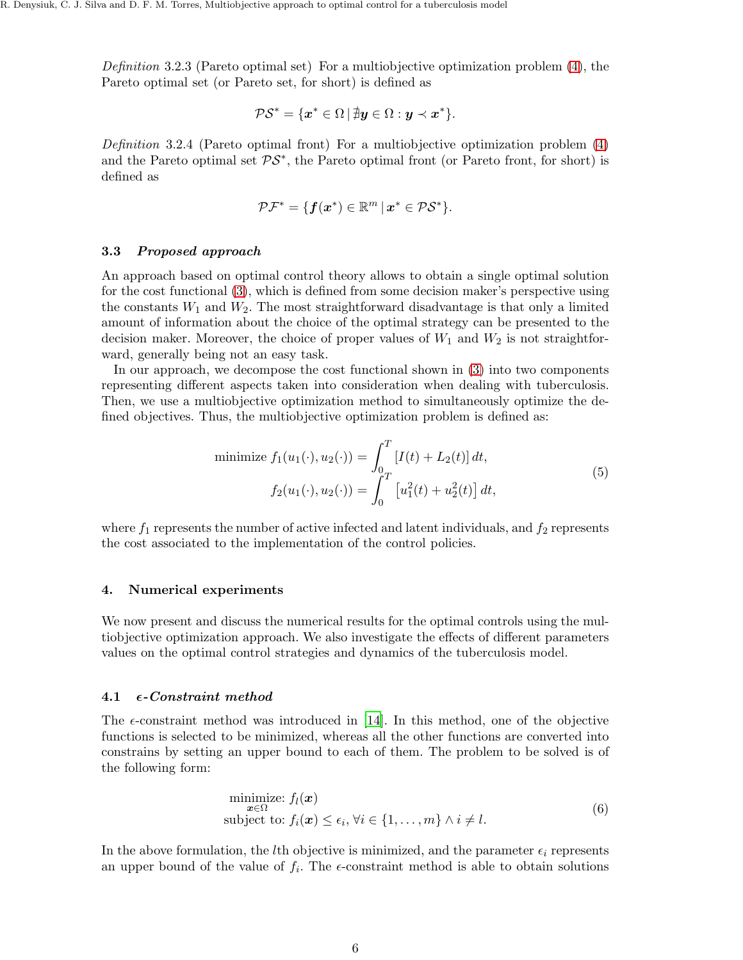Definition 3.2.3 (Pareto optimal set) For a multiobjective optimization problem [\(4\)](#page-4-1), the Pareto optimal set (or Pareto set, for short) is defined as

$$
\mathcal{PS}^* = \{ \boldsymbol{x}^* \in \Omega \, | \, \nexists \boldsymbol{y} \in \Omega : \boldsymbol{y} \prec \boldsymbol{x}^* \}.
$$

Definition 3.2.4 (Pareto optimal front) For a multiobjective optimization problem [\(4\)](#page-4-1) and the Pareto optimal set  $\mathcal{PS}^*$ , the Pareto optimal front (or Pareto front, for short) is defined as

$$
\mathcal{PF}^* = \{ \boldsymbol{f}(\boldsymbol{x}^*) \in \mathbb{R}^m \, | \, \boldsymbol{x}^* \in \mathcal{PS}^* \}.
$$

## 3.3 Proposed approach

An approach based on optimal control theory allows to obtain a single optimal solution for the cost functional [\(3\)](#page-4-0), which is defined from some decision maker's perspective using the constants  $W_1$  and  $W_2$ . The most straightforward disadvantage is that only a limited amount of information about the choice of the optimal strategy can be presented to the decision maker. Moreover, the choice of proper values of  $W_1$  and  $W_2$  is not straightforward, generally being not an easy task.

In our approach, we decompose the cost functional shown in [\(3\)](#page-4-0) into two components representing different aspects taken into consideration when dealing with tuberculosis. Then, we use a multiobjective optimization method to simultaneously optimize the defined objectives. Thus, the multiobjective optimization problem is defined as:

<span id="page-5-2"></span>minimize 
$$
f_1(u_1(\cdot), u_2(\cdot)) = \int_0^T [I(t) + L_2(t)] dt
$$
,  
\n
$$
f_2(u_1(\cdot), u_2(\cdot)) = \int_0^T [u_1^2(t) + u_2^2(t)] dt,
$$
\n(5)

where  $f_1$  represents the number of active infected and latent individuals, and  $f_2$  represents the cost associated to the implementation of the control policies.

## <span id="page-5-0"></span>4. Numerical experiments

We now present and discuss the numerical results for the optimal controls using the multiobjective optimization approach. We also investigate the effects of different parameters values on the optimal control strategies and dynamics of the tuberculosis model.

## 4.1  $\epsilon$ -Constraint method

The  $\epsilon$ -constraint method was introduced in [\[14](#page-16-23)]. In this method, one of the objective functions is selected to be minimized, whereas all the other functions are converted into constrains by setting an upper bound to each of them. The problem to be solved is of the following form:

<span id="page-5-1"></span>
$$
\begin{array}{ll}\n\text{minimize: } f_l(\boldsymbol{x})\\ \n\text{subject to: } f_i(\boldsymbol{x}) \le \epsilon_i, \forall i \in \{1, \dots, m\} \land i \ne l. \n\end{array} \tag{6}
$$

In the above formulation, the *l*th objective is minimized, and the parameter  $\epsilon_i$  represents an upper bound of the value of  $f_i$ . The  $\epsilon$ -constraint method is able to obtain solutions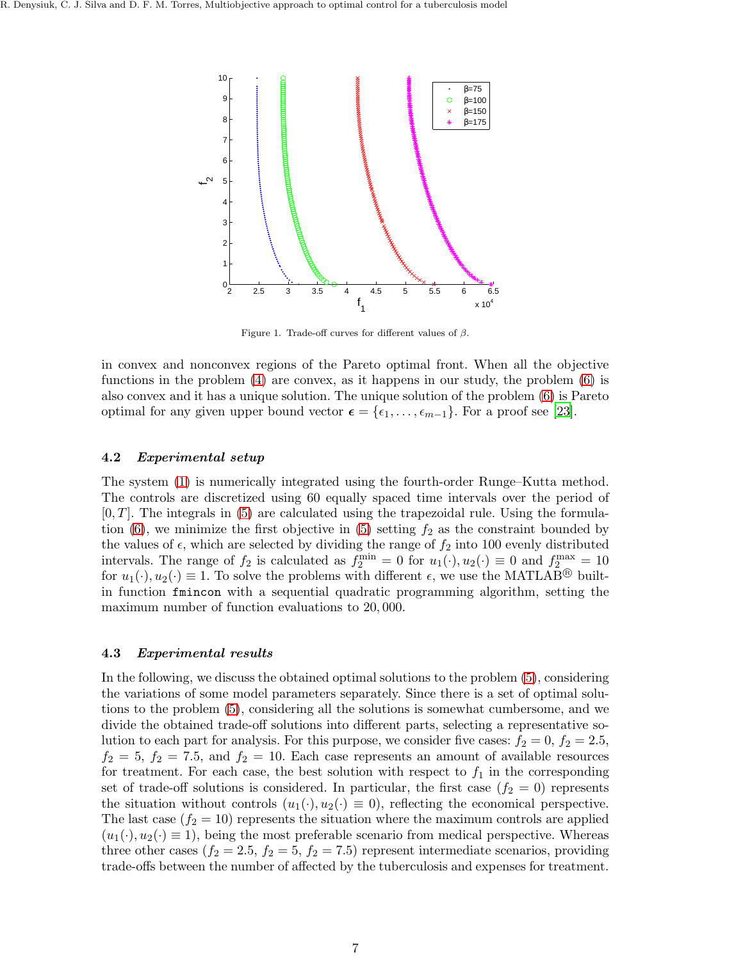

<span id="page-6-0"></span>Figure 1. Trade-off curves for different values of  $\beta$ .

in convex and nonconvex regions of the Pareto optimal front. When all the objective functions in the problem [\(4\)](#page-4-1) are convex, as it happens in our study, the problem [\(6\)](#page-5-1) is also convex and it has a unique solution. The unique solution of the problem [\(6\)](#page-5-1) is Pareto optimal for any given upper bound vector  $\epsilon = {\epsilon_1, \ldots, \epsilon_{m-1}}$ . For a proof see [\[23\]](#page-16-24).

## <span id="page-6-1"></span>4.2 Experimental setup

The system [\(1\)](#page-2-1) is numerically integrated using the fourth-order Runge–Kutta method. The controls are discretized using 60 equally spaced time intervals over the period of  $[0, T]$ . The integrals in  $(5)$  are calculated using the trapezoidal rule. Using the formula-tion [\(6\)](#page-5-1), we minimize the first objective in [\(5\)](#page-5-2) setting  $f_2$  as the constraint bounded by the values of  $\epsilon$ , which are selected by dividing the range of  $f_2$  into 100 evenly distributed intervals. The range of  $f_2$  is calculated as  $f_2^{\min} = 0$  for  $u_1(\cdot), u_2(\cdot) \equiv 0$  and  $f_2^{\max} = 10$ for  $u_1(\cdot), u_2(\cdot) \equiv 1$ . To solve the problems with different  $\epsilon$ , we use the MATLAB<sup>®</sup> builtin function fmincon with a sequential quadratic programming algorithm, setting the maximum number of function evaluations to 20, 000.

## 4.3 Experimental results

In the following, we discuss the obtained optimal solutions to the problem [\(5\)](#page-5-2), considering the variations of some model parameters separately. Since there is a set of optimal solutions to the problem [\(5\)](#page-5-2), considering all the solutions is somewhat cumbersome, and we divide the obtained trade-off solutions into different parts, selecting a representative solution to each part for analysis. For this purpose, we consider five cases:  $f_2 = 0$ ,  $f_2 = 2.5$ ,  $f_2 = 5$ ,  $f_2 = 7.5$ , and  $f_2 = 10$ . Each case represents an amount of available resources for treatment. For each case, the best solution with respect to  $f_1$  in the corresponding set of trade-off solutions is considered. In particular, the first case  $(f_2 = 0)$  represents the situation without controls  $(u_1(\cdot), u_2(\cdot) \equiv 0)$ , reflecting the economical perspective. The last case  $(f_2 = 10)$  represents the situation where the maximum controls are applied  $(u_1(\cdot), u_2(\cdot) \equiv 1)$ , being the most preferable scenario from medical perspective. Whereas three other cases  $(f_2 = 2.5, f_2 = 5, f_2 = 7.5)$  represent intermediate scenarios, providing trade-offs between the number of affected by the tuberculosis and expenses for treatment.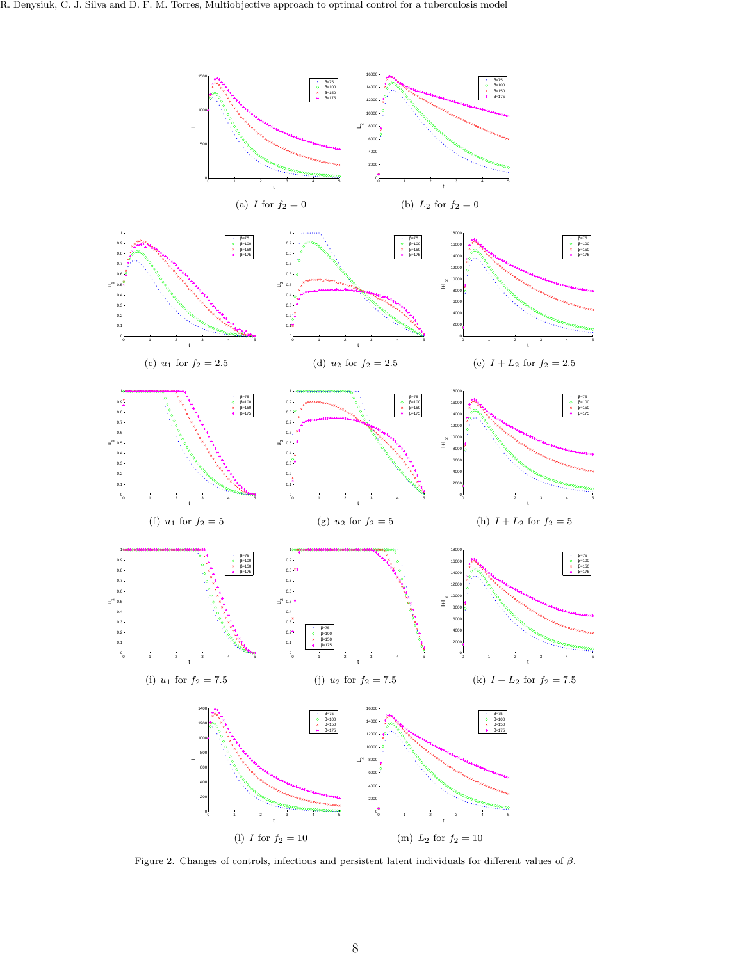<span id="page-7-11"></span><span id="page-7-8"></span><span id="page-7-5"></span><span id="page-7-2"></span><span id="page-7-1"></span>

<span id="page-7-13"></span><span id="page-7-12"></span><span id="page-7-10"></span><span id="page-7-9"></span><span id="page-7-7"></span><span id="page-7-6"></span><span id="page-7-4"></span><span id="page-7-3"></span><span id="page-7-0"></span>Figure 2. Changes of controls, infectious and persistent latent individuals for different values of β.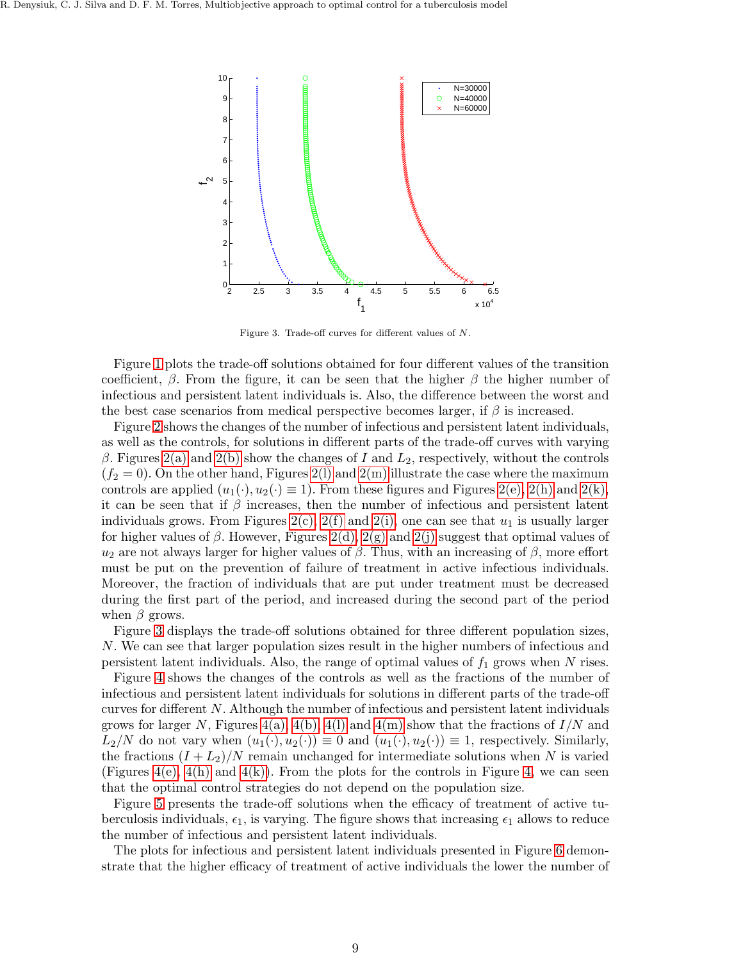

<span id="page-8-0"></span>Figure 3. Trade-off curves for different values of N.

Figure [1](#page-6-0) plots the trade-off solutions obtained for four different values of the transition coefficient,  $\beta$ . From the figure, it can be seen that the higher  $\beta$  the higher number of infectious and persistent latent individuals is. Also, the difference between the worst and the best case scenarios from medical perspective becomes larger, if  $\beta$  is increased.

Figure [2](#page-7-0) shows the changes of the number of infectious and persistent latent individuals, as well as the controls, for solutions in different parts of the trade-off curves with varying β. Figures [2\(a\)](#page-7-1) and [2\(b\)](#page-7-2) show the changes of I and  $L_2$ , respectively, without the controls  $(f_2 = 0)$ . On the other hand, Figures 2(1) and [2\(m\)](#page-7-4) illustrate the case where the maximum controls are applied  $(u_1(\cdot), u_2(\cdot) \equiv 1)$ . From these figures and Figures [2\(e\),](#page-7-5) [2\(h\)](#page-7-6) and [2\(k\),](#page-7-7) it can be seen that if  $\beta$  increases, then the number of infectious and persistent latent individuals grows. From Figures  $2(c)$ ,  $2(f)$  and  $2(i)$ , one can see that  $u_1$  is usually larger for higher values of  $\beta$ . However, Figures [2\(d\),](#page-7-11) [2\(g\)](#page-7-12) and [2\(j\)](#page-7-13) suggest that optimal values of  $u_2$  are not always larger for higher values of  $\beta$ . Thus, with an increasing of  $\beta$ , more effort must be put on the prevention of failure of treatment in active infectious individuals. Moreover, the fraction of individuals that are put under treatment must be decreased during the first part of the period, and increased during the second part of the period when  $\beta$  grows.

Figure [3](#page-8-0) displays the trade-off solutions obtained for three different population sizes, N. We can see that larger population sizes result in the higher numbers of infectious and persistent latent individuals. Also, the range of optimal values of  $f_1$  grows when N rises.

Figure [4](#page-9-0) shows the changes of the controls as well as the fractions of the number of infectious and persistent latent individuals for solutions in different parts of the trade-off curves for different N. Although the number of infectious and persistent latent individuals grows for larger N, Figures [4\(a\),](#page-9-1) [4\(b\),](#page-9-2) [4\(l\)](#page-9-3) and [4\(m\)](#page-9-4) show that the fractions of  $I/N$  and  $L_2/N$  do not vary when  $(u_1(\cdot), u_2(\cdot)) \equiv 0$  and  $(u_1(\cdot), u_2(\cdot)) \equiv 1$ , respectively. Similarly, the fractions  $(I + L_2)/N$  remain unchanged for intermediate solutions when N is varied (Figures  $4(e)$ ,  $4(h)$  and  $4(k)$ ). From the plots for the controls in Figure [4,](#page-9-0) we can seen that the optimal control strategies do not depend on the population size.

Figure [5](#page-10-1) presents the trade-off solutions when the efficacy of treatment of active tuberculosis individuals,  $\epsilon_1$ , is varying. The figure shows that increasing  $\epsilon_1$  allows to reduce the number of infectious and persistent latent individuals.

The plots for infectious and persistent latent individuals presented in Figure [6](#page-11-0) demonstrate that the higher efficacy of treatment of active individuals the lower the number of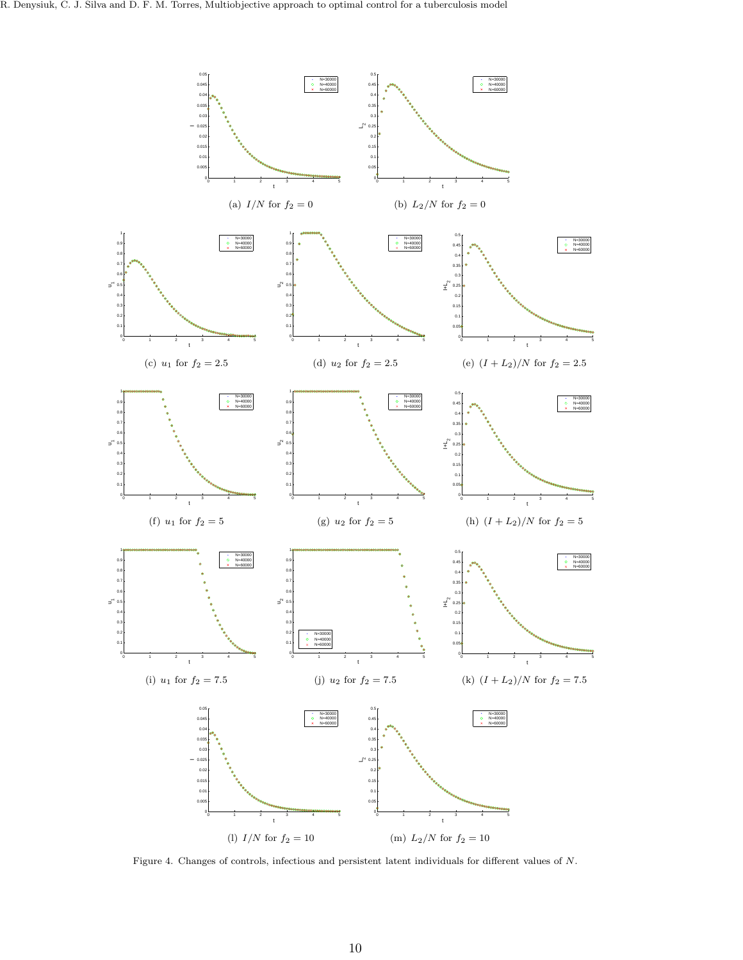<span id="page-9-5"></span><span id="page-9-2"></span><span id="page-9-1"></span>

<span id="page-9-7"></span><span id="page-9-6"></span><span id="page-9-4"></span><span id="page-9-3"></span><span id="page-9-0"></span>Figure 4. Changes of controls, infectious and persistent latent individuals for different values of N.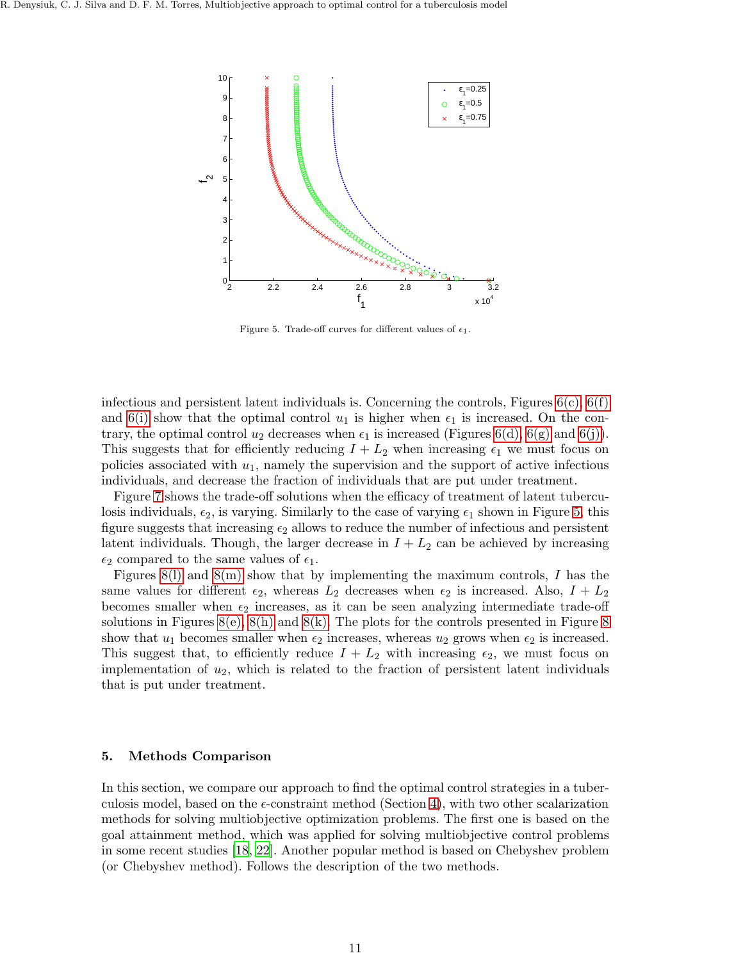

<span id="page-10-1"></span>Figure 5. Trade-off curves for different values of  $\epsilon_1$ .

infectious and persistent latent individuals is. Concerning the controls, Figures  $6(c)$ ,  $6(f)$ and [6\(i\)](#page-11-3) show that the optimal control  $u_1$  is higher when  $\epsilon_1$  is increased. On the contrary, the optimal control  $u_2$  decreases when  $\epsilon_1$  is increased (Figures [6\(d\),](#page-11-4) [6\(g\)](#page-11-5) and [6\(j\)\)](#page-11-6). This suggests that for efficiently reducing  $I + L_2$  when increasing  $\epsilon_1$  we must focus on policies associated with  $u_1$ , namely the supervision and the support of active infectious individuals, and decrease the fraction of individuals that are put under treatment.

Figure [7](#page-12-0) shows the trade-off solutions when the efficacy of treatment of latent tuberculosis individuals,  $\epsilon_2$ , is varying. Similarly to the case of varying  $\epsilon_1$  shown in Figure [5,](#page-10-1) this figure suggests that increasing  $\epsilon_2$  allows to reduce the number of infectious and persistent latent individuals. Though, the larger decrease in  $I + L<sub>2</sub>$  can be achieved by increasing  $\epsilon_2$  compared to the same values of  $\epsilon_1$ .

Figures [8\(l\)](#page-13-0) and [8\(m\)](#page-13-1) show that by implementing the maximum controls, I has the same values for different  $\epsilon_2$ , whereas  $L_2$  decreases when  $\epsilon_2$  is increased. Also,  $I + L_2$ becomes smaller when  $\epsilon_2$  increases, as it can be seen analyzing intermediate trade-off solutions in Figures [8\(e\),](#page-13-2) [8\(h\)](#page-13-3) and [8\(k\).](#page-13-4) The plots for the controls presented in Figure [8](#page-13-5) show that  $u_1$  becomes smaller when  $\epsilon_2$  increases, whereas  $u_2$  grows when  $\epsilon_2$  is increased. This suggest that, to efficiently reduce  $I + L_2$  with increasing  $\epsilon_2$ , we must focus on implementation of  $u_2$ , which is related to the fraction of persistent latent individuals that is put under treatment.

#### <span id="page-10-0"></span>5. Methods Comparison

In this section, we compare our approach to find the optimal control strategies in a tuberculosis model, based on the  $\epsilon$ -constraint method (Section [4\)](#page-5-0), with two other scalarization methods for solving multiobjective optimization problems. The first one is based on the goal attainment method, which was applied for solving multiobjective control problems in some recent studies [\[18](#page-16-25), [22](#page-16-26)]. Another popular method is based on Chebyshev problem (or Chebyshev method). Follows the description of the two methods.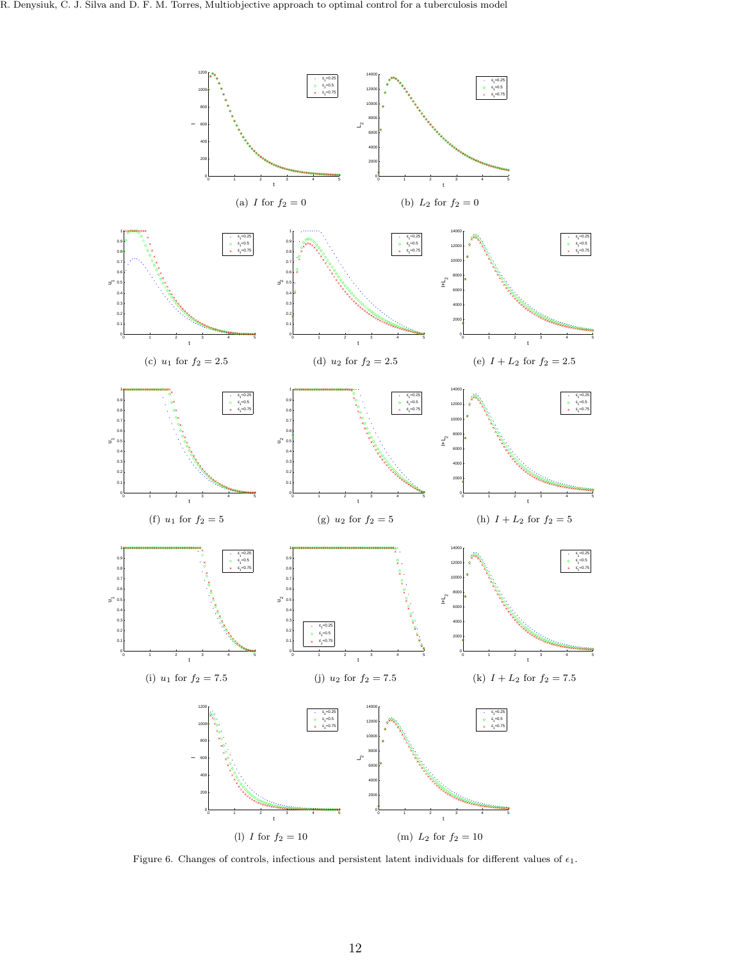<span id="page-11-4"></span><span id="page-11-1"></span>

<span id="page-11-6"></span><span id="page-11-5"></span><span id="page-11-3"></span><span id="page-11-2"></span><span id="page-11-0"></span>Figure 6. Changes of controls, infectious and persistent latent individuals for different values of  $\epsilon_1$ .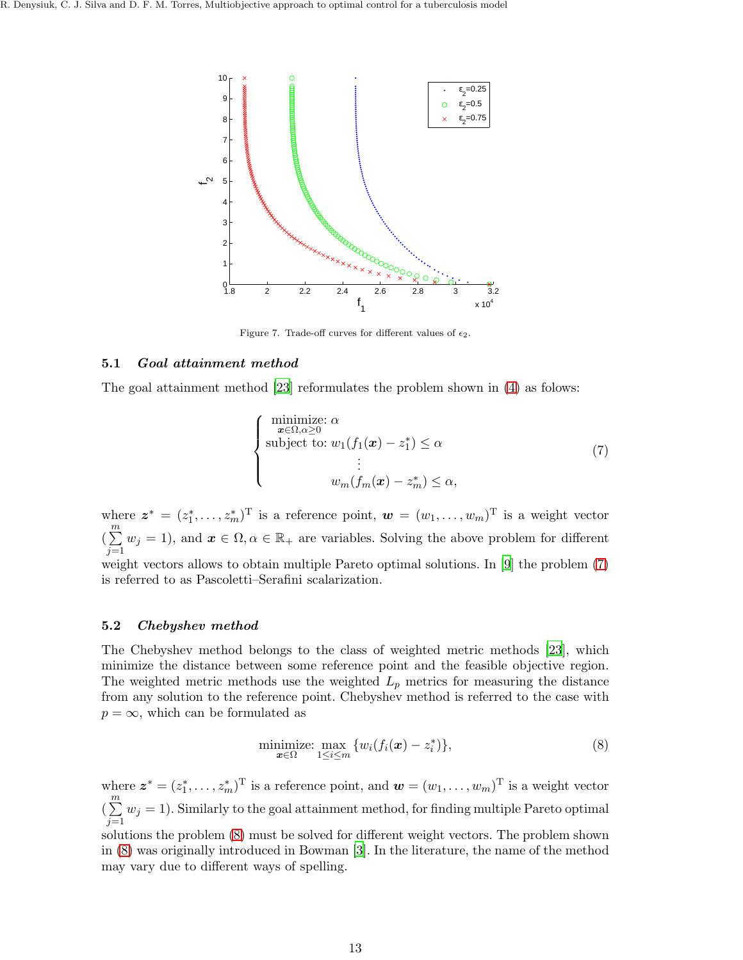

<span id="page-12-0"></span>Figure 7. Trade-off curves for different values of  $\epsilon_2$ .

## 5.1 Goal attainment method

The goal attainment method [\[23\]](#page-16-24) reformulates the problem shown in [\(4\)](#page-4-1) as folows:

<span id="page-12-1"></span>
$$
\begin{cases}\n\minimize: \alpha \\
\text{subject to: } w_1(f_1(\boldsymbol{x}) - z_1^*) \leq \alpha \\
\vdots \\
w_m(f_m(\boldsymbol{x}) - z_m^*) \leq \alpha,\n\end{cases} \tag{7}
$$

where  $\boldsymbol{z}^* = (z_1^*, \ldots, z_m^*)^T$  is a reference point,  $\boldsymbol{w} = (w_1, \ldots, w_m)^T$  is a weight vector  $\left(\frac{m}{\sum}\right)$  $j=1$  $w_j = 1$ , and  $x \in \Omega, \alpha \in \mathbb{R}_+$  are variables. Solving the above problem for different weight vectors allows to obtain multiple Pareto optimal solutions. In [\[9](#page-16-27)] the problem [\(7\)](#page-12-1) is referred to as Pascoletti–Serafini scalarization.

## 5.2 Chebyshev method

The Chebyshev method belongs to the class of weighted metric methods [\[23](#page-16-24)], which minimize the distance between some reference point and the feasible objective region. The weighted metric methods use the weighted  $L_p$  metrics for measuring the distance from any solution to the reference point. Chebyshev method is referred to the case with  $p = \infty$ , which can be formulated as

<span id="page-12-2"></span>
$$
\underset{\mathbf{x}\in\Omega}{\text{minimize: }} \underset{1\leq i\leq m}{\text{max}} \{w_i(f_i(\mathbf{x}) - z_i^*)\},\tag{8}
$$

where  $\boldsymbol{z}^* = (z_1^*, \ldots, z_m^*)^T$  is a reference point, and  $\boldsymbol{w} = (w_1, \ldots, w_m)^T$  is a weight vector  $\left(\frac{m}{\sum}\right)$  $j=1$  $w_j = 1$ ). Similarly to the goal attainment method, for finding multiple Pareto optimal

solutions the problem [\(8\)](#page-12-2) must be solved for different weight vectors. The problem shown in [\(8\)](#page-12-2) was originally introduced in Bowman [\[3](#page-15-3)]. In the literature, the name of the method may vary due to different ways of spelling.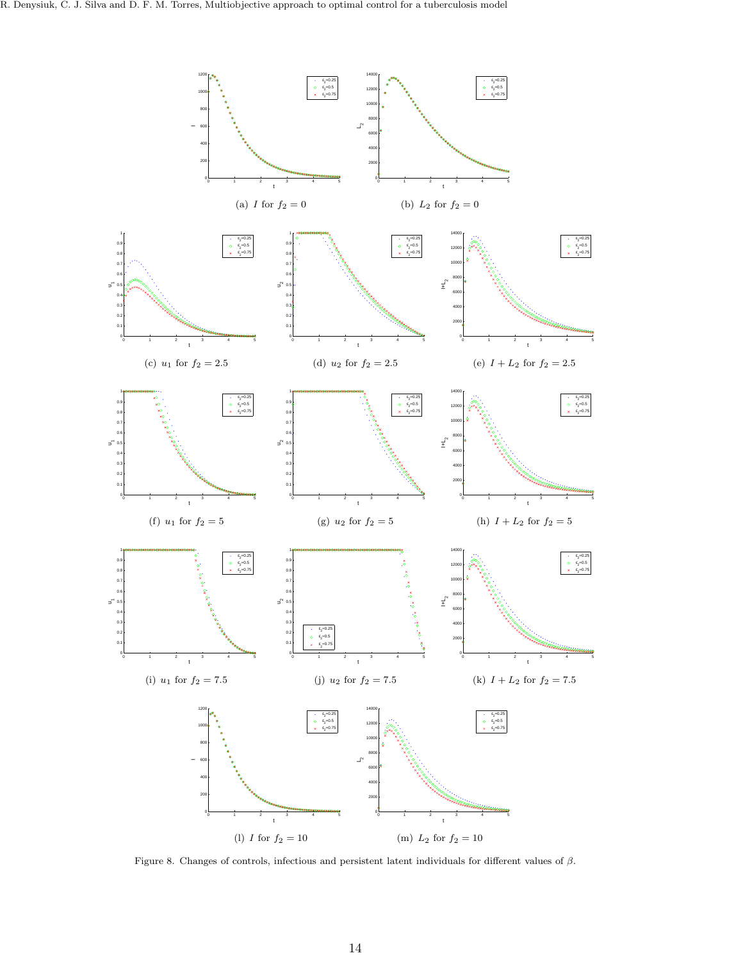<span id="page-13-2"></span>

<span id="page-13-5"></span><span id="page-13-4"></span><span id="page-13-3"></span><span id="page-13-1"></span><span id="page-13-0"></span>Figure 8. Changes of controls, infectious and persistent latent individuals for different values of β.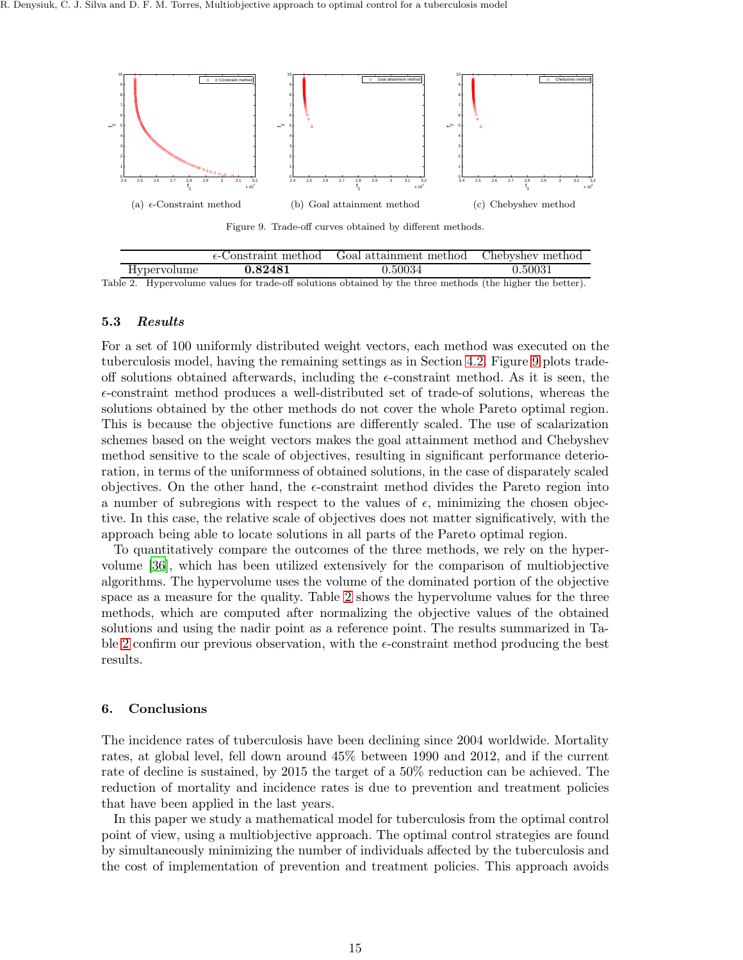

<span id="page-14-1"></span>Figure 9. Trade-off curves obtained by different methods.

|                    | $\epsilon$ -Constraint method | Goal attainment method | Chebyshev method |
|--------------------|-------------------------------|------------------------|------------------|
| <b>Hypervolume</b> | 0.82481                       | ${0.50034}$            | $\,0.50031\,$    |
|                    |                               |                        |                  |

<span id="page-14-2"></span>Table 2. Hypervolume values for trade-off solutions obtained by the three methods (the higher the better).

## 5.3 Results

For a set of 100 uniformly distributed weight vectors, each method was executed on the tuberculosis model, having the remaining settings as in Section [4.2.](#page-6-1) Figure [9](#page-14-1) plots tradeoff solutions obtained afterwards, including the  $\epsilon$ -constraint method. As it is seen, the  $\epsilon$ -constraint method produces a well-distributed set of trade-of solutions, whereas the solutions obtained by the other methods do not cover the whole Pareto optimal region. This is because the objective functions are differently scaled. The use of scalarization schemes based on the weight vectors makes the goal attainment method and Chebyshev method sensitive to the scale of objectives, resulting in significant performance deterioration, in terms of the uniformness of obtained solutions, in the case of disparately scaled objectives. On the other hand, the  $\epsilon$ -constraint method divides the Pareto region into a number of subregions with respect to the values of  $\epsilon$ , minimizing the chosen objective. In this case, the relative scale of objectives does not matter significatively, with the approach being able to locate solutions in all parts of the Pareto optimal region.

To quantitatively compare the outcomes of the three methods, we rely on the hypervolume [\[36](#page-17-3)], which has been utilized extensively for the comparison of multiobjective algorithms. The hypervolume uses the volume of the dominated portion of the objective space as a measure for the quality. Table [2](#page-14-2) shows the hypervolume values for the three methods, which are computed after normalizing the objective values of the obtained solutions and using the nadir point as a reference point. The results summarized in Ta-ble [2](#page-14-2) confirm our previous observation, with the  $\epsilon$ -constraint method producing the best results.

## <span id="page-14-0"></span>6. Conclusions

The incidence rates of tuberculosis have been declining since 2004 worldwide. Mortality rates, at global level, fell down around 45% between 1990 and 2012, and if the current rate of decline is sustained, by 2015 the target of a 50% reduction can be achieved. The reduction of mortality and incidence rates is due to prevention and treatment policies that have been applied in the last years.

In this paper we study a mathematical model for tuberculosis from the optimal control point of view, using a multiobjective approach. The optimal control strategies are found by simultaneously minimizing the number of individuals affected by the tuberculosis and the cost of implementation of prevention and treatment policies. This approach avoids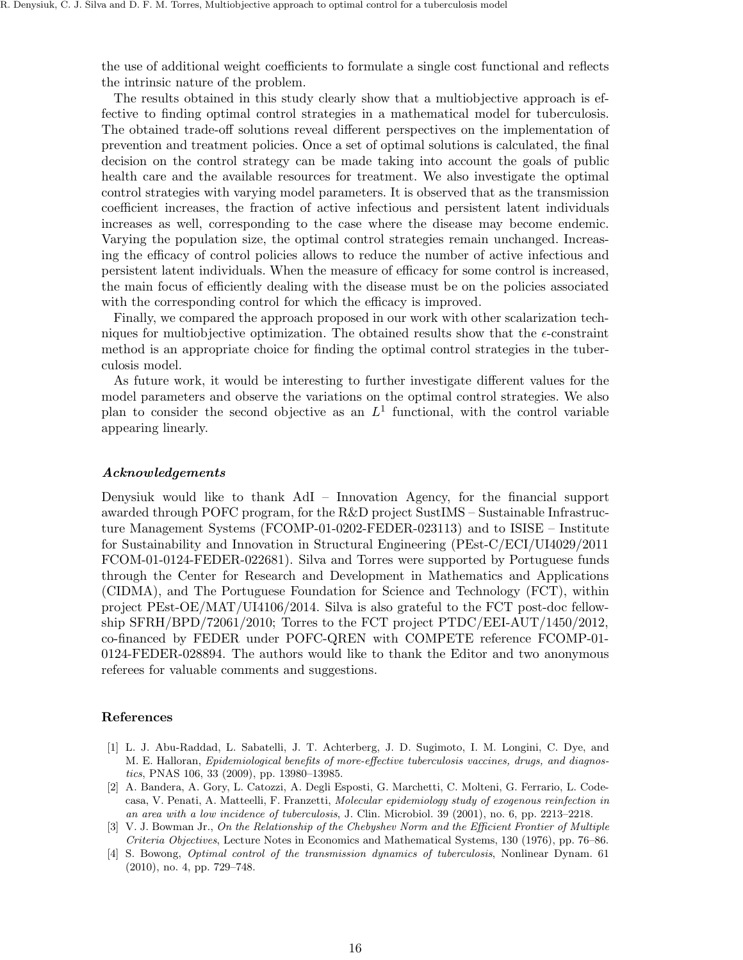the use of additional weight coefficients to formulate a single cost functional and reflects the intrinsic nature of the problem.

The results obtained in this study clearly show that a multiobjective approach is effective to finding optimal control strategies in a mathematical model for tuberculosis. The obtained trade-off solutions reveal different perspectives on the implementation of prevention and treatment policies. Once a set of optimal solutions is calculated, the final decision on the control strategy can be made taking into account the goals of public health care and the available resources for treatment. We also investigate the optimal control strategies with varying model parameters. It is observed that as the transmission coefficient increases, the fraction of active infectious and persistent latent individuals increases as well, corresponding to the case where the disease may become endemic. Varying the population size, the optimal control strategies remain unchanged. Increasing the efficacy of control policies allows to reduce the number of active infectious and persistent latent individuals. When the measure of efficacy for some control is increased, the main focus of efficiently dealing with the disease must be on the policies associated with the corresponding control for which the efficacy is improved.

Finally, we compared the approach proposed in our work with other scalarization techniques for multiobjective optimization. The obtained results show that the  $\epsilon$ -constraint method is an appropriate choice for finding the optimal control strategies in the tuberculosis model.

As future work, it would be interesting to further investigate different values for the model parameters and observe the variations on the optimal control strategies. We also plan to consider the second objective as an  $L^1$  functional, with the control variable appearing linearly.

#### Acknowledgements

Denysiuk would like to thank AdI – Innovation Agency, for the financial support awarded through POFC program, for the R&D project SustIMS – Sustainable Infrastructure Management Systems (FCOMP-01-0202-FEDER-023113) and to ISISE – Institute for Sustainability and Innovation in Structural Engineering (PEst-C/ECI/UI4029/2011 FCOM-01-0124-FEDER-022681). Silva and Torres were supported by Portuguese funds through the Center for Research and Development in Mathematics and Applications (CIDMA), and The Portuguese Foundation for Science and Technology (FCT), within project PEst-OE/MAT/UI4106/2014. Silva is also grateful to the FCT post-doc fellowship SFRH/BPD/72061/2010; Torres to the FCT project PTDC/EEI-AUT/1450/2012, co-financed by FEDER under POFC-QREN with COMPETE reference FCOMP-01- 0124-FEDER-028894. The authors would like to thank the Editor and two anonymous referees for valuable comments and suggestions.

## References

- <span id="page-15-0"></span>[1] L. J. Abu-Raddad, L. Sabatelli, J. T. Achterberg, J. D. Sugimoto, I. M. Longini, C. Dye, and M. E. Halloran, Epidemiological benefits of more-effective tuberculosis vaccines, drugs, and diagnostics, PNAS 106, 33 (2009), pp. 13980–13985.
- <span id="page-15-2"></span>[2] A. Bandera, A. Gory, L. Catozzi, A. Degli Esposti, G. Marchetti, C. Molteni, G. Ferrario, L. Codecasa, V. Penati, A. Matteelli, F. Franzetti, Molecular epidemiology study of exogenous reinfection in an area with a low incidence of tuberculosis, J. Clin. Microbiol. 39 (2001), no. 6, pp. 2213–2218.
- <span id="page-15-3"></span>[3] V. J. Bowman Jr., On the Relationship of the Chebyshev Norm and the Efficient Frontier of Multiple Criteria Objectives, Lecture Notes in Economics and Mathematical Systems, 130 (1976), pp. 76–86.
- <span id="page-15-1"></span>[4] S. Bowong, Optimal control of the transmission dynamics of tuberculosis, Nonlinear Dynam. 61 (2010), no. 4, pp. 729–748.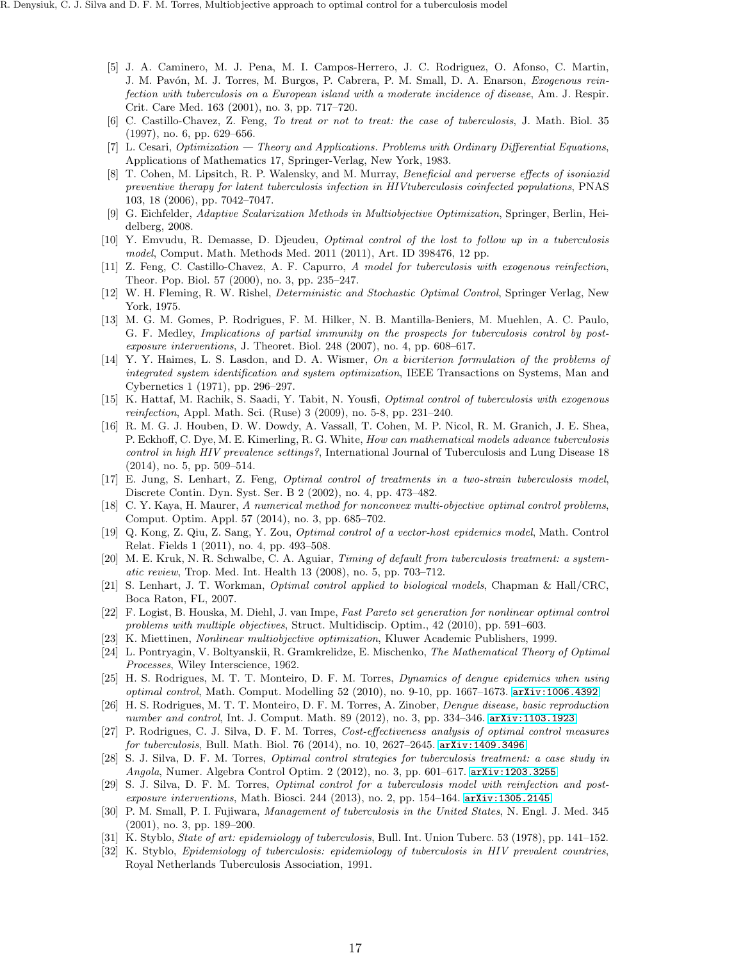- <span id="page-16-17"></span>[5] J. A. Caminero, M. J. Pena, M. I. Campos-Herrero, J. C. Rodriguez, O. Afonso, C. Martin, J. M. Pavón, M. J. Torres, M. Burgos, P. Cabrera, P. M. Small, D. A. Enarson, Exogenous reinfection with tuberculosis on a European island with a moderate incidence of disease, Am. J. Respir. Crit. Care Med. 163 (2001), no. 3, pp. 717–720.
- <span id="page-16-15"></span>[6] C. Castillo-Chavez, Z. Feng, To treat or not to treat: the case of tuberculosis, J. Math. Biol. 35 (1997), no. 6, pp. 629–656.
- <span id="page-16-5"></span>[7] L. Cesari, *Optimization* — Theory and Applications. Problems with Ordinary Differential Equations, Applications of Mathematics 17, Springer-Verlag, New York, 1983.
- <span id="page-16-21"></span>[8] T. Cohen, M. Lipsitch, R. P. Walensky, and M. Murray, Beneficial and perverse effects of isoniazid preventive therapy for latent tuberculosis infection in HIVtuberculosis coinfected populations, PNAS 103, 18 (2006), pp. 7042–7047.
- <span id="page-16-27"></span>[9] G. Eichfelder, Adaptive Scalarization Methods in Multiobjective Optimization, Springer, Berlin, Heidelberg, 2008.
- <span id="page-16-12"></span>[10] Y. Emvudu, R. Demasse, D. Djeudeu, Optimal control of the lost to follow up in a tuberculosis model, Comput. Math. Methods Med. 2011 (2011), Art. ID 398476, 12 pp.
- <span id="page-16-16"></span>[11] Z. Feng, C. Castillo-Chavez, A. F. Capurro, A model for tuberculosis with exogenous reinfection, Theor. Pop. Biol. 57 (2000), no. 3, pp. 235–247.
- <span id="page-16-6"></span>[12] W. H. Fleming, R. W. Rishel, Deterministic and Stochastic Optimal Control, Springer Verlag, New York, 1975.
- <span id="page-16-2"></span>[13] M. G. M. Gomes, P. Rodrigues, F. M. Hilker, N. B. Mantilla-Beniers, M. Muehlen, A. C. Paulo, G. F. Medley, Implications of partial immunity on the prospects for tuberculosis control by postexposure interventions, J. Theoret. Biol. 248 (2007), no. 4, pp. 608–617.
- <span id="page-16-23"></span>[14] Y. Y. Haimes, L. S. Lasdon, and D. A. Wismer, On a bicriterion formulation of the problems of integrated system identification and system optimization, IEEE Transactions on Systems, Man and Cybernetics 1 (1971), pp. 296–297.
- <span id="page-16-13"></span>[15] K. Hattaf, M. Rachik, S. Saadi, Y. Tabit, N. Yousfi, Optimal control of tuberculosis with exogenous reinfection, Appl. Math. Sci. (Ruse) 3 (2009), no. 5-8, pp. 231–240.
- <span id="page-16-20"></span>[16] R. M. G. J. Houben, D. W. Dowdy, A. Vassall, T. Cohen, M. P. Nicol, R. M. Granich, J. E. Shea, P. Eckhoff, C. Dye, M. E. Kimerling, R. G. White, How can mathematical models advance tuberculosis control in high HIV prevalence settings?, International Journal of Tuberculosis and Lung Disease 18 (2014), no. 5, pp. 509–514.
- <span id="page-16-14"></span>[17] E. Jung, S. Lenhart, Z. Feng, Optimal control of treatments in a two-strain tuberculosis model, Discrete Contin. Dyn. Syst. Ser. B 2 (2002), no. 4, pp. 473–482.
- <span id="page-16-25"></span>[18] C. Y. Kaya, H. Maurer, A numerical method for nonconvex multi-objective optimal control problems, Comput. Optim. Appl. 57 (2014), no. 3, pp. 685–702.
- <span id="page-16-8"></span>[19] Q. Kong, Z. Qiu, Z. Sang, Y. Zou, Optimal control of a vector-host epidemics model, Math. Control Relat. Fields 1 (2011), no. 4, pp. 493–508.
- <span id="page-16-3"></span>[20] M. E. Kruk, N. R. Schwalbe, C. A. Aguiar, Timing of default from tuberculosis treatment: a systematic review, Trop. Med. Int. Health 13 (2008), no. 5, pp. 703–712.
- <span id="page-16-9"></span>[21] S. Lenhart, J. T. Workman, Optimal control applied to biological models, Chapman & Hall/CRC, Boca Raton, FL, 2007.
- <span id="page-16-26"></span>[22] F. Logist, B. Houska, M. Diehl, J. van Impe, Fast Pareto set generation for nonlinear optimal control problems with multiple objectives, Struct. Multidiscip. Optim., 42 (2010), pp. 591–603.
- <span id="page-16-24"></span>[23] K. Miettinen, Nonlinear multiobjective optimization, Kluwer Academic Publishers, 1999.
- <span id="page-16-7"></span>[24] L. Pontryagin, V. Boltyanskii, R. Gramkrelidze, E. Mischenko, The Mathematical Theory of Optimal Processes, Wiley Interscience, 1962.
- <span id="page-16-10"></span>[25] H. S. Rodrigues, M. T. T. Monteiro, D. F. M. Torres, Dynamics of dengue epidemics when using optimal control, Math. Comput. Modelling 52 (2010), no. 9-10, pp. 1667–1673. [arXiv:1006.4392](http://arxiv.org/abs/1006.4392)
- <span id="page-16-11"></span>[26] H. S. Rodrigues, M. T. T. Monteiro, D. F. M. Torres, A. Zinober, Dengue disease, basic reproduction number and control, Int. J. Comput. Math. 89 (2012), no. 3, pp. 334–346. [arXiv:1103.1923](http://arxiv.org/abs/1103.1923)
- <span id="page-16-4"></span>[27] P. Rodrigues, C. J. Silva, D. F. M. Torres, Cost-effectiveness analysis of optimal control measures for tuberculosis, Bull. Math. Biol. 76 (2014), no. 10, 2627–2645. [arXiv:1409.3496](http://arxiv.org/abs/1409.3496)
- <span id="page-16-18"></span>[28] S. J. Silva, D. F. M. Torres, Optimal control strategies for tuberculosis treatment: a case study in Angola, Numer. Algebra Control Optim. 2 (2012), no. 3, pp. 601–617. [arXiv:1203.3255](http://arxiv.org/abs/1203.3255)
- <span id="page-16-19"></span>[29] S. J. Silva, D. F. M. Torres, Optimal control for a tuberculosis model with reinfection and postexposure interventions, Math. Biosci. 244 (2013), no. 2, pp. 154-164. [arXiv:1305.2145](http://arxiv.org/abs/1305.2145)
- <span id="page-16-0"></span>[30] P. M. Small, P. I. Fujiwara, Management of tuberculosis in the United States, N. Engl. J. Med. 345 (2001), no. 3, pp. 189–200.
- <span id="page-16-1"></span>[31] K. Styblo, *State of art: epidemiology of tuberculosis*, Bull. Int. Union Tuberc. 53 (1978), pp. 141–152.
- <span id="page-16-22"></span>[32] K. Styblo, Epidemiology of tuberculosis: epidemiology of tuberculosis in HIV prevalent countries, Royal Netherlands Tuberculosis Association, 1991.